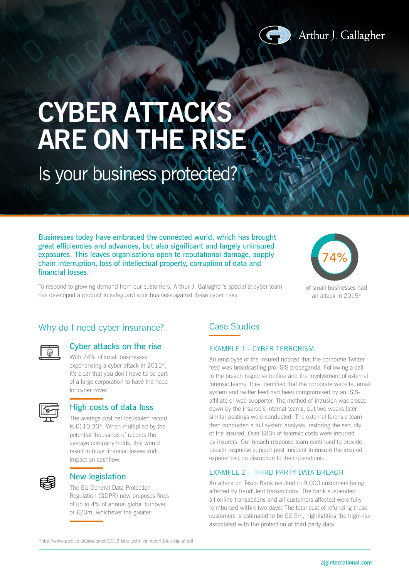

# **CYBER ATTACKS ARE ON THE RISE**

## Is your business protected?

Businesses today have embraced the connected world, which has brought great efficiencies and advances, but also significant and largely uninsured exposures. This leaves organisations open to reputational damage, supply chain interruption, loss of intellectual property, corruption of data and financial losses.

To respond to growing demand from our customers, Arthur J. Gallagher's specialist cyber team has developed a product to safeguard your business against these cyber risks.



of small businesses had an attack in 2015\*

### Why do I need cyber insurance?

#### Cyber attacks on the rise

With 74% of small businesses experiencing a cyber attack in 2015\*, it's clear that you don't have to be part of a large corporation to have the need for cyber cover.

#### High costs of data loss

The average cost per lost/stolen record is £110.30\*. When multiplied by the potential thousands of records the average company holds, this would result in huge financial losses and impact on cashflow.



#### New legislation

The EU General Data Protection Regulation (GDPR) now proposes fines of up to 4% of annual global turnover, or £20m, whichever the greater.

### Case Studies

#### EXAMPLE 1 - CYBER TERRORISM

An employee of the insured noticed that the corporate Twitter feed was broadcasting pro-ISIS propaganda. Following a call to the breach response hotline and the involvement of external forensic teams, they identified that the corporate website, email system and twitter feed had been compromised by an ISISaffiliate or web supporter. The method of intrusion was closed down by the insured's internal teams, but two weeks later similar postings were conducted. The external forensic team then conducted a full system analysis, restoring the security of the insured. Over £80k of forensic costs were incurred by insurers. Our breach response team continued to provide breach response support post incident to ensure the insured experienced no disruption to their operations.

#### EXAMPLE 2 - THIRD PARTY DATA BREACH

An attack on Tesco Bank resulted in 9,000 customers being affected by fraudulent transactions. The bank suspended all online transactions and all customers affected were fully reimbursed within two days. The total cost of refunding these customers is estimated to be £2.5m, highlighting the high risk associated with the protection of third party data.

\*http://www.pwc.co.uk/assets/pdf/2015-isbs-technical report-blue-digital.pdf